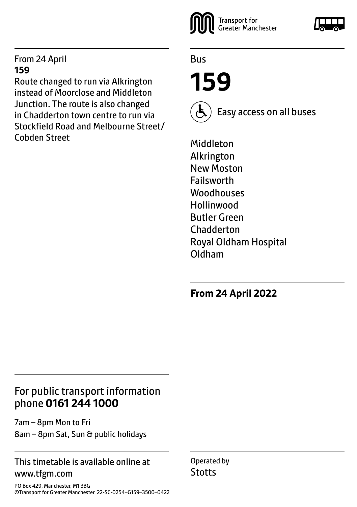#### From 24 April **159**

Route changed to run via Alkrington instead of Moorclose and Middleton Junction. The route is also changed in Chadderton town centre to run via Stockfield Road and Melbourne Street/ Cobden Street



Bus

**159**



Easy access on all buses

Middleton Alkrington New Moston Failsworth Woodhouses Hollinwood Butler Green **Chadderton** Royal Oldham Hospital Oldham

**From 24 April 2022**

## For public transport information phone **0161 244 1000**

7am – 8pm Mon to Fri 8am – 8pm Sat, Sun & public holidays

#### This timetable is available online at www.tfgm.com

PO Box 429, Manchester, M1 3BG ©Transport for Greater Manchester 22-SC-0254–G159–3500–0422 Operated by **Stotts**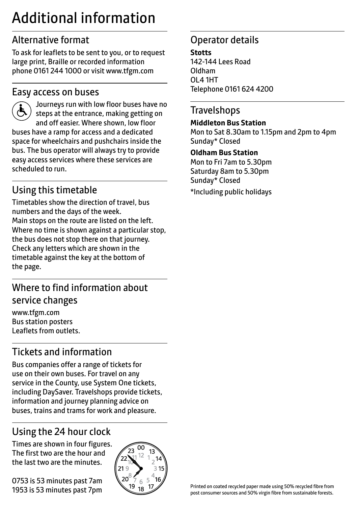## Additional information

## Alternative format

To ask for leaflets to be sent to you, or to request large print, Braille or recorded information phone 0161 244 1000 or visit www.tfgm.com

#### Easy access on buses



 Journeys run with low floor buses have no steps at the entrance, making getting on and off easier. Where shown, low floor buses have a ramp for access and a dedicated space for wheelchairs and pushchairs inside the bus. The bus operator will always try to provide easy access services where these services are scheduled to run.

## Using this timetable

Timetables show the direction of travel, bus numbers and the days of the week. Main stops on the route are listed on the left. Where no time is shown against a particular stop, the bus does not stop there on that journey. Check any letters which are shown in the timetable against the key at the bottom of the page.

## Where to find information about service changes

www.tfgm.com Bus station posters Leaflets from outlets.

## Tickets and information

Bus companies offer a range of tickets for use on their own buses. For travel on any service in the County, use System One tickets, including DaySaver. Travelshops provide tickets, information and journey planning advice on buses, trains and trams for work and pleasure.

## Using the 24 hour clock

Times are shown in four figures. The first two are the hour and the last two are the minutes.

0753 is 53 minutes past 7am 1953 is 53 minutes past 7pm



## Operator details

**Stotts** 142-144 Lees Road Oldham OL4 1HT Telephone 0161 624 4200

#### **Travelshops**

#### **Middleton Bus Station**

Mon to Sat 8.30am to 1.15pm and 2pm to 4pm Sunday\* Closed

#### **Oldham Bus Station**

Mon to Fri 7am to 5.30pm Saturday 8am to 5.30pm Sunday\* Closed \*Including public holidays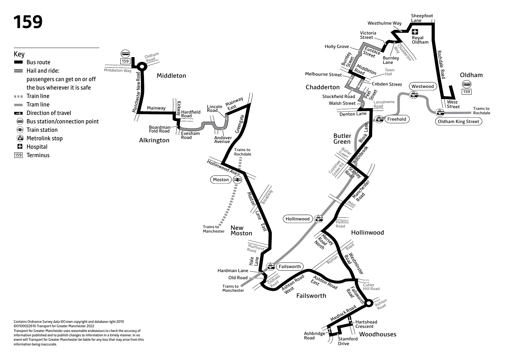# **159**



**Drive** 

Sheepfoot

information being inaccurate.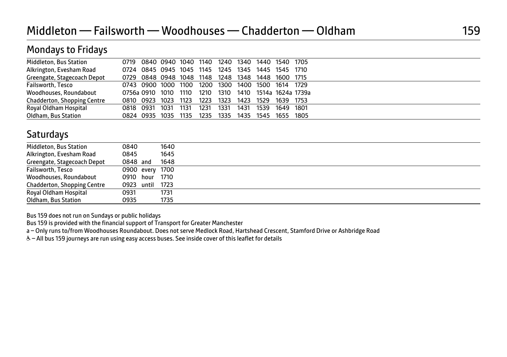| <b>Mondays to Fridays</b>          |           |                 |                     |      |      |      |      |                                                   |      |       |
|------------------------------------|-----------|-----------------|---------------------|------|------|------|------|---------------------------------------------------|------|-------|
| <b>Middleton, Bus Station</b>      | 0719      |                 | 0840 0940 1040 1140 |      |      |      |      | 1240 1340 1440 1540 1705                          |      |       |
| Alkrington, Evesham Road           |           |                 |                     |      |      |      |      | 0724 0845 0945 1045 1145 1245 1345 1445 1545 1710 |      |       |
| Greengate, Stagecoach Depot        | 0729      |                 |                     |      |      |      |      | 0848 0948 1048 1148 1248 1348 1448 1600 1715      |      |       |
| Failsworth, Tesco                  |           | 0743 0900 1000  |                     | 1100 | 1200 |      |      | 1300 1400 1500 1614 1729                          |      |       |
| Woodhouses, Roundabout             |           | 0756a 0910 1010 |                     | 1110 | 1210 | 1310 |      | 1410 1514a 1624a 1739a                            |      |       |
| <b>Chadderton, Shopping Centre</b> | O810 -    | 0923            | 1023                | 1123 | 1223 | 1323 | 1423 | 1529                                              | 1639 | -1753 |
| Royal Oldham Hospital              | 0818      | 0931            | 1031                | 1131 | 1231 | 1331 | 1431 | 1539                                              | 1649 | 1801  |
| Oldham, Bus Station                | 0824 0935 |                 | 1035                | 1135 | 1235 | 1335 | 1435 | 1545                                              | 1655 | 1805  |

### **Saturdays**

| Middleton, Bus Station      | 0840            | 1640 |
|-----------------------------|-----------------|------|
| Alkrington, Evesham Road    | 0845            | 1645 |
| Greengate, Stagecoach Depot | 0848 and        | 1648 |
| Failsworth, Tesco           | 0900 every 1700 |      |
| Woodhouses, Roundabout      | 0910 hour 1710  |      |
| Chadderton, Shopping Centre | 0923 until 1723 |      |
| Royal Oldham Hospital       | 0931            | 1731 |
| Oldham, Bus Station         | 0935            | 1735 |

Bus 159 does not run on Sundays or public holidays

Bus 159 is provided with the financial support of Transport for Greater Manchester

a – Only runs to/from Woodhouses Roundabout. Does not serve Medlock Road, Hartshead Crescent, Stamford Drive or Ashbridge Road

W– All bus 159 journeys are run using easy access buses. See inside cover of this leaflet for details